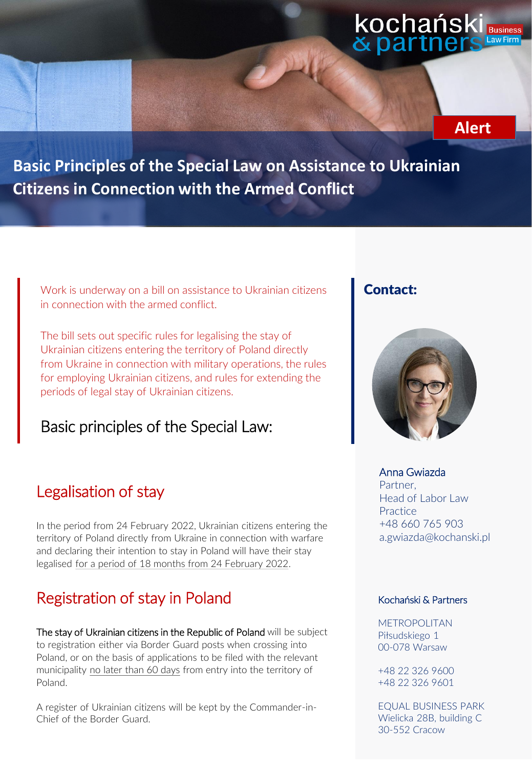#### kochańsk **Business** & par



**Basic Principles of the Special Law on Assistance to Ukrainian Citizens in Connection with the Armed Conflict** 

Work is underway on a bill on assistance to Ukrainian citizens in connection with the armed conflict.

The bill sets out specific rules for legalising the stay of Ukrainian citizens entering the territory of Poland directly from Ukraine in connection with military operations, the rules for employing Ukrainian citizens, and rules for extending the periods of legal stay of Ukrainian citizens.

Basic principles of the Special Law:

#### Legalisation of stay

In the period from 24 February 2022, Ukrainian citizens entering the territory of Poland directly from Ukraine in connection with warfare and declaring their intention to stay in Poland will have their stay legalised for a period of 18 months from 24 February 2022.

## Registration of stay in Poland

The stay of Ukrainian citizens in the Republic of Poland will be subject to registration either via Border Guard posts when crossing into Poland, or on the basis of applications to be filed with the relevant municipality no later than 60 days from entry into the territory of Poland.

A register of Ukrainian citizens will be kept by the Commander-in-Chief of the Border Guard.

#### Contact:



#### Anna Gwiazda

Partner, Head of Labor Law **Practice** +48 660 765 903 a.gwiazda@kochanski.pl

#### Kochański & Partners

METROPOLITAN Piłsudskiego 1 00-078 Warsaw

+48 22 326 9600 +48 22 326 9601

EQUAL BUSINESS PARK Wielicka 28B, building C 30-552 Cracow